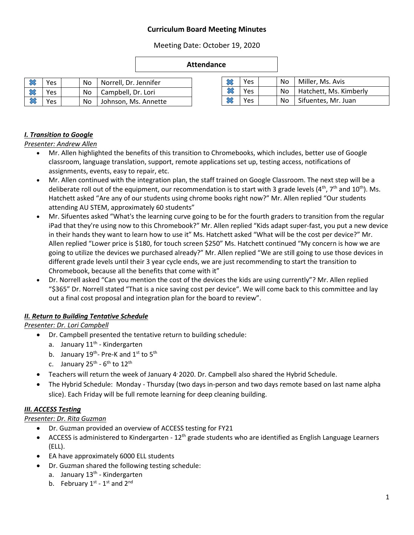### **Curriculum Board Meeting Minutes**

Meeting Date: October 19, 2020

#### **Attendance**

| Yes | No | Norrell, Dr. Jennifer | $\sim$ | Yes | No | Miller, Ms. Avis       |
|-----|----|-----------------------|--------|-----|----|------------------------|
| Yes | No | Campbell, Dr. Lori    | $\sim$ | Yes | No | Hatchett, Ms. Kimberly |
| Yes | No | Johnson, Ms. Annette  | $\sim$ | Yes | No | Sifuentes, Mr. Juan    |

### *I. Transition to Google*

*Presenter: Andrew Allen*

- Mr. Allen highlighted the benefits of this transition to Chromebooks, which includes, better use of Google classroom, language translation, support, remote applications set up, testing access, notifications of assignments, events, easy to repair, etc.
- Mr. Allen continued with the integration plan, the staff trained on Google Classroom. The next step will be a deliberate roll out of the equipment, our recommendation is to start with 3 grade levels ( $4^{th}$ ,  $7^{th}$  and  $10^{th}$ ). Ms. Hatchett asked "Are any of our students using chrome books right now?" Mr. Allen replied "Our students attending AU STEM, approximately 60 students"
- Mr. Sifuentes asked "What's the learning curve going to be for the fourth graders to transition from the regular iPad that they're using now to this Chromebook?" Mr. Allen replied "Kids adapt super-fast, you put a new device in their hands they want to learn how to use it" Ms. Hatchett asked "What will be the cost per device?" Mr. Allen replied "Lower price is \$180, for touch screen \$250" Ms. Hatchett continued "My concern is how we are going to utilize the devices we purchased already?" Mr. Allen replied "We are still going to use those devices in different grade levels until their 3 year cycle ends, we are just recommending to start the transition to Chromebook, because all the benefits that come with it"
- Dr. Norrell asked "Can you mention the cost of the devices the kids are using currently"? Mr. Allen replied "\$365" Dr. Norrell stated "That is a nice saving cost per device". We will come back to this committee and lay out a final cost proposal and integration plan for the board to review".

### *II. Return to Building Tentative Schedule*

### *Presenter: Dr. Lori Campbell*

- Dr. Campbell presented the tentative return to building schedule:
	- a. January 11<sup>th</sup> Kindergarten
	- b. January 19<sup>th</sup>- Pre-K and 1st to 5<sup>th</sup>
	- c. January 25<sup>th</sup> 6<sup>th</sup> to 12<sup>th</sup>
- Teachers will return the week of January 4<sup>,</sup> 2020. Dr. Campbell also shared the Hybrid Schedule.
- The Hybrid Schedule: Monday Thursday (two days in-person and two days remote based on last name alpha slice). Each Friday will be full remote learning for deep cleaning building.

### *III. ACCESS Testing*

#### *Presenter: Dr. Rita Guzman*

- Dr. Guzman provided an overview of ACCESS testing for FY21
- ACCESS is administered to Kindergarten  $12<sup>th</sup>$  grade students who are identified as English Language Learners (ELL).
- EA have approximately 6000 ELL students
- Dr. Guzman shared the following testing schedule:
	- a. January 13<sup>th</sup> Kindergarten
	- b. February  $1^{\text{st}}$   $1^{\text{st}}$  and  $2^{\text{nd}}$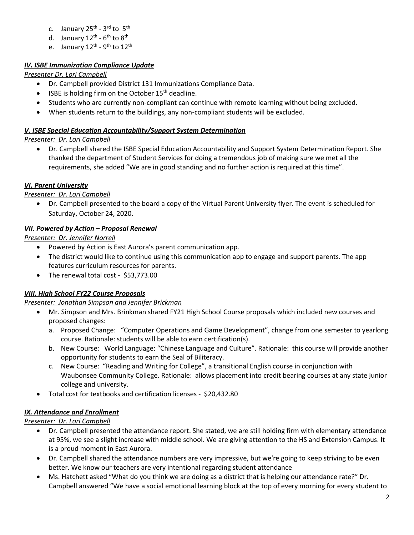- c. January 25<sup>th</sup> 3<sup>rd</sup> to 5<sup>th</sup>
- d. January 12<sup>th</sup>  $6^{\text{th}}$  to  $8^{\text{th}}$
- e. January 12<sup>th</sup> 9<sup>th</sup> to 12<sup>th</sup>

### *IV. ISBE Immunization Compliance Update*

*Presenter Dr. Lori Campbell*

- Dr. Campbell provided District 131 Immunizations Compliance Data.
- $\bullet$  ISBE is holding firm on the October 15<sup>th</sup> deadline.
- Students who are currently non-compliant can continue with remote learning without being excluded.
- When students return to the buildings, any non-compliant students will be excluded.

### *V. ISBE Special Education Accountability/Support System Determination*

*Presenter: Dr. Lori Campbell*

 Dr. Campbell shared the ISBE Special Education Accountability and Support System Determination Report. She thanked the department of Student Services for doing a tremendous job of making sure we met all the requirements, she added "We are in good standing and no further action is required at this time".

## *VI. Parent University*

*Presenter: Dr. Lori Campbell*

 Dr. Campbell presented to the board a copy of the Virtual Parent University flyer. The event is scheduled for Saturday, October 24, 2020.

## *VII. Powered by Action – Proposal Renewal*

*Presenter: Dr. Jennifer Norrell* 

- Powered by Action is East Aurora's parent communication app.
- The district would like to continue using this communication app to engage and support parents. The app features curriculum resources for parents.
- The renewal total cost \$53,773.00

# *VIII. High School FY22 Course Proposals*

### *Presenter: Jonathan Simpson and Jennifer Brickman*

- Mr. Simpson and Mrs. Brinkman shared FY21 High School Course proposals which included new courses and proposed changes:
	- a. Proposed Change: "Computer Operations and Game Development", change from one semester to yearlong course. Rationale: students will be able to earn certification(s).
	- b. New Course: World Language: "Chinese Language and Culture". Rationale: this course will provide another opportunity for students to earn the Seal of Biliteracy.
	- c. New Course: "Reading and Writing for College", a transitional English course in conjunction with Waubonsee Community College. Rationale: allows placement into credit bearing courses at any state junior college and university.
- Total cost for textbooks and certification licenses \$20,432.80

# *IX. Attendance and Enrollment*

# *Presenter: Dr. Lori Campbell*

- Dr. Campbell presented the attendance report. She stated, we are still holding firm with elementary attendance at 95%, we see a slight increase with middle school. We are giving attention to the HS and Extension Campus. It is a proud moment in East Aurora.
- Dr. Campbell shared the attendance numbers are very impressive, but we're going to keep striving to be even better. We know our teachers are very intentional regarding student attendance
- Ms. Hatchett asked "What do you think we are doing as a district that is helping our attendance rate?" Dr. Campbell answered "We have a social emotional learning block at the top of every morning for every student to